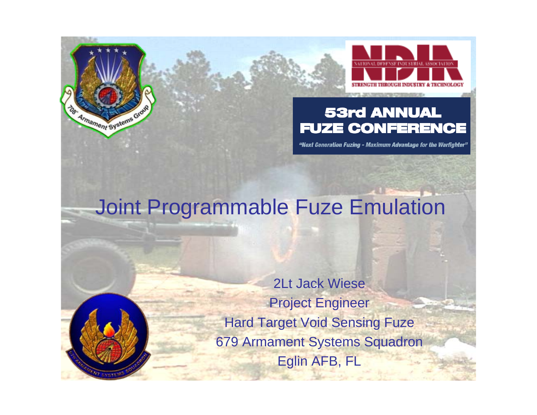

#### **53rd ANNUAL FUZE CONFERENCE**

"Next Generation Fuzing - Maximum Advantage for the Warfighter"

#### Joint Programmable Fuze Emulation

Armament Systems Grov

2Lt Jack WieseProject Engineer Hard Target Void Sensing Fuze 679 Armament Systems Squadron Eglin AFB, FL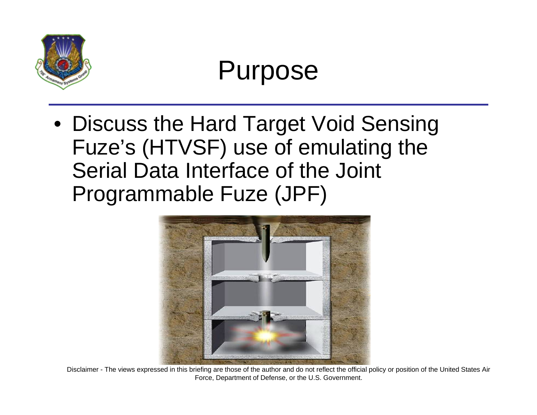

#### Purpose

• Discuss the Hard Target Void Sensing Fuze's (HTVSF) use of emulating the Serial Data Interface of the Joint Programmable Fuze (JPF)



Disclaimer - The views expressed in this briefing are those of the author and do not reflect the official policy or position of the United States Air Force, Department of Defense, or the U.S. Government.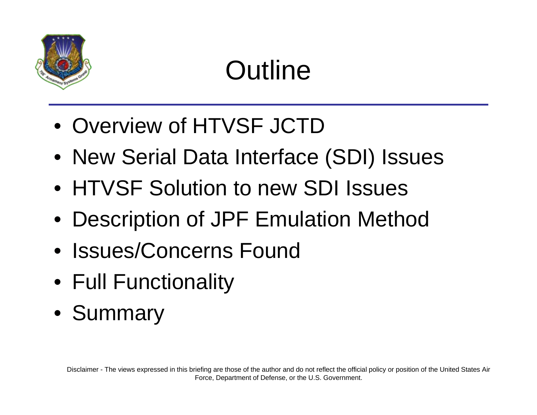

### **Outline**

- Overview of HTVSF JCTD
- New Serial Data Interface (SDI) Issues
- HTVSF Solution to new SDI Issues
- Description of JPF Emulation Method
- Issues/Concerns Found
- Full Functionality
- Summary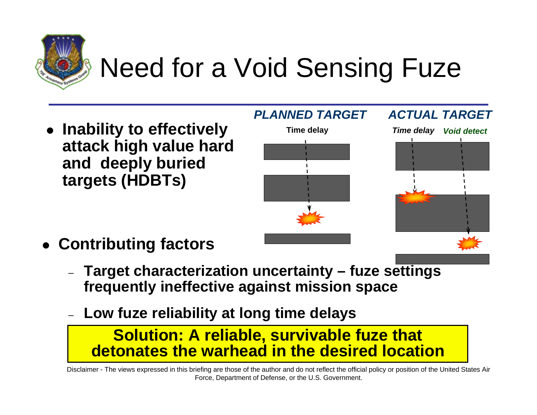

### Need for a Void Sensing Fuze

**attack high value hard and deeply buried targets (HDBTs)**



- **Contributing factors**
	- **Target characterization uncertainty fuze settings frequently ineffective against mission space**
	- **Low fuze reliability at long time delays**

#### **Solution: A reliable, survivable fuze that detonates the warhead in the desired location**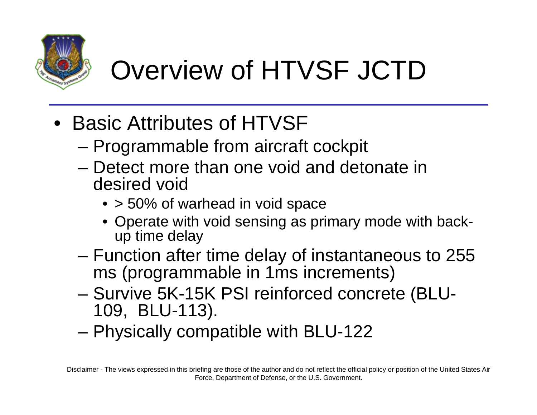

# Overview of HTVSF JCTD

- Basic Attributes of HTVSF
	- Programmable from aircraft cockpit
	- Detect more than one void and detonate in desired void
		- > 50% of warhead in void space
		- Operate with void sensing as primary mode with backup time delay
	- Function after time delay of instantaneous to 255 ms (programmable in 1ms increments)
	- Survive 5K-15K PSI reinforced concrete (BLU-109, BLU-113).
	- Physically compatible with BLU-122

Disclaimer - The views expressed in this briefing are those of the author and do not reflect the official policy or position of the United States Air Force, Department of Defense, or the U.S. Government.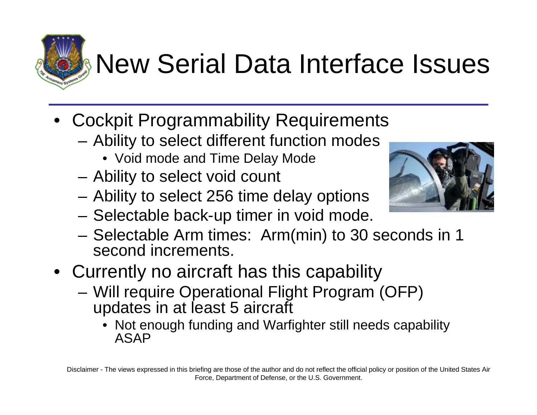# **New Serial Data Interface Issues**

- Cockpit Programmability Requirements
	- Ability to select different function modes
		- Void mode and Time Delay Mode
	- Ability to select void count
	- Ability to select 256 time delay options
	- Selectable back-up timer in void mode.
	- Selectable Arm times: Arm(min) to 30 seconds in 1 second increments.
- Currently no aircraft has this capability
	- Will require Operational Flight Program (OFP) updates in at least 5 aircraft
		- Not enough funding and Warfighter still needs capability ASAP



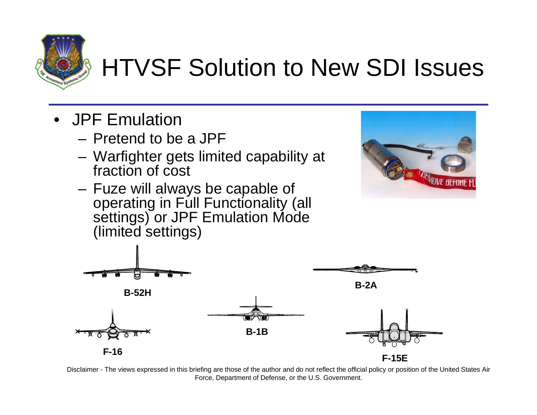

#### HTVSF Solution to New SDI Issues

- JPF Emulation
	- Pretend to be a JPF
	- Warfighter gets limited capability at fraction of cost
	- Fuze will always be capable of operating in Full Functionality (all settings) or JPF Emulation Mode (limited settings)



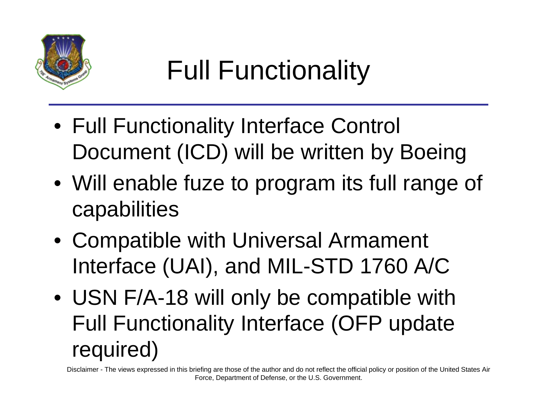

# Full Functionality

- Full Functionality Interface Control Document (ICD) will be written by Boeing
- Will enable fuze to program its full range of capabilities
- Compatible with Universal Armament Interface (UAI), and MIL-STD 1760 A/C
- USN F/A-18 will only be compatible with Full Functionality Interface (OFP update required)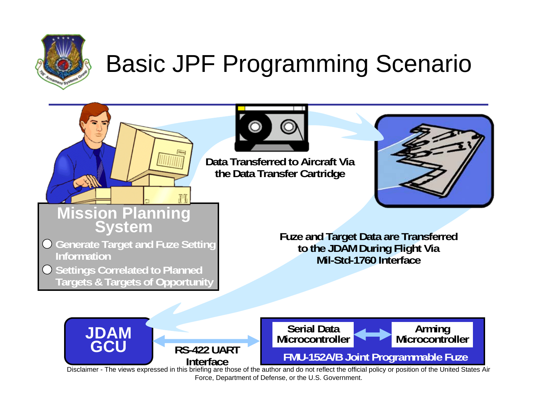

СŸ

#### Basic JPF Programming Scenario



**Data Transferred to Aircraft Viathe Data Transfer Cartridge**



### **Mission Planning System**

- **Generate Target and Fuze Setting Information**
- **O** Settings Correlated to Planned **Targets & Targets of Opportunity**

**Fuze and Target Data are Transferred to the JDAM During Flight Via Mil-Std-1760 Interface**

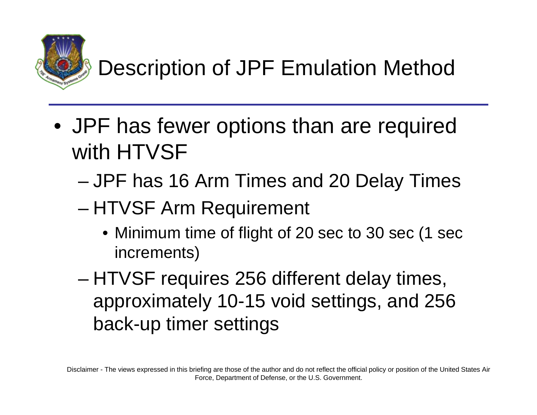

#### Description of JPF Emulation Method

- JPF has fewer options than are required with HTVSF
	- JPF has 16 Arm Times and 20 Delay Times
	- HTVSF Arm Requirement
		- Minimum time of flight of 20 sec to 30 sec (1 sec increments)
	- HTVSF requires 256 different delay times, approximately 10-15 void settings, and 256 back-up timer settings

Disclaimer - The views expressed in this briefing are those of the author and do not reflect the official policy or position of the United States Air Force, Department of Defense, or the U.S. Government.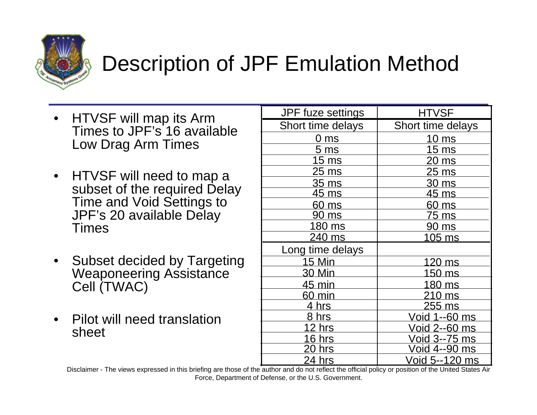

#### Description of JPF Emulation Method

- HTVSF will map its Arm Times to JPF's 16 available Low Drag Arm Times
- HTVSF will need to map a subset of the required Delay Time and Void Settings to JPF's 20 available Delay Times
- Subset decided by Targeting Weaponeering Assistance Cell (TWAC)
- Pilot will need translation sheet

| <b>JPF</b> fuze settings | <b>HTVSF</b>         |  |  |
|--------------------------|----------------------|--|--|
| Short time delays        | Short time delays    |  |  |
| 0 ms                     | 10 ms                |  |  |
| 5 <sub>ms</sub>          | 15 <sub>ms</sub>     |  |  |
| 15 ms                    | <u>20 ms</u>         |  |  |
| 25 ms                    | 25 ms                |  |  |
| 35 ms                    | 30 ms                |  |  |
| 45 ms                    | 45 ms                |  |  |
| 60 ms                    | 60 ms                |  |  |
| 90 ms                    | <u>75 ms</u>         |  |  |
| 180 ms                   | 90 ms                |  |  |
| 240 ms                   | <u>105 ms</u>        |  |  |
| Long time delays         |                      |  |  |
| <b>15 Min</b>            | 120 ms               |  |  |
| <u>30 Min</u>            | 150 ms               |  |  |
| 45 min                   | 180 ms               |  |  |
| 60 min                   | 210 ms               |  |  |
| 4 hrs                    | 255 ms               |  |  |
| <u>8 hrs</u>             | <u>Void 1--60 ms</u> |  |  |
| 12 hrs                   | Void 2--60 ms        |  |  |
| 16 hrs                   | Void 3--75 ms        |  |  |
| <u>20 hrs</u>            | <u>Void 4--90 ms</u> |  |  |
| 24 hrs                   | Void 5--120 ms       |  |  |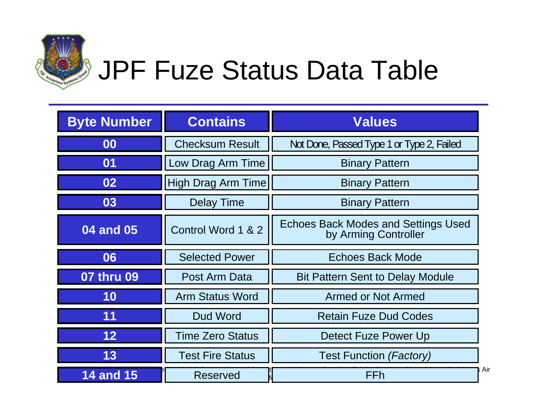

# JPF Fuze Status Data Table

| <b>Byte Number</b> | <b>Contains</b>         | <b>Values</b>                                                      |  |  |
|--------------------|-------------------------|--------------------------------------------------------------------|--|--|
| 00                 | <b>Checksum Result</b>  | Not Done, Passed Type 1 or Type 2, Failed                          |  |  |
| 01                 | Low Drag Arm Time       | <b>Binary Pattern</b>                                              |  |  |
| 02                 | High Drag Arm Time      | <b>Binary Pattern</b>                                              |  |  |
| 03                 | <b>Delay Time</b>       | <b>Binary Pattern</b>                                              |  |  |
| 04 and 05          | Control Word 1 & 2      | <b>Echoes Back Modes and Settings Used</b><br>by Arming Controller |  |  |
| 06                 | <b>Selected Power</b>   | Echoes Back Mode                                                   |  |  |
| 07 thru 09         | Post Arm Data           | <b>Bit Pattern Sent to Delay Module</b>                            |  |  |
| 10                 | <b>Arm Status Word</b>  | <b>Armed or Not Armed</b>                                          |  |  |
| 11                 | Dud Word                | <b>Retain Fuze Dud Codes</b>                                       |  |  |
| 12                 | <b>Time Zero Status</b> | Detect Fuze Power Up                                               |  |  |
| 13                 | <b>Test Fire Status</b> | <b>Test Function (Factory)</b>                                     |  |  |
| <b>14 and 15</b>   | <b>Reserved</b>         | FFh                                                                |  |  |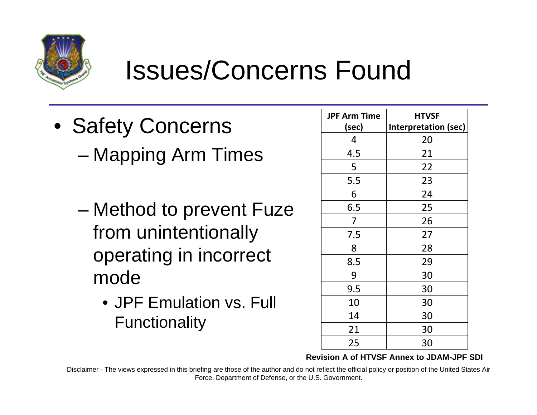

#### Issues/Concerns Found

- Safety Concerns – Mapping Arm Times
	- Method to prevent Fuze from unintentionally operating in incorrect mode
		- JPF Emulation vs. Full Functionality

| <b>JPF Arm Time</b> | <b>HTVSF</b>                |
|---------------------|-----------------------------|
| (sec)               | <b>Interpretation (sec)</b> |
| 4                   | 20                          |
| 4.5                 | 21                          |
| 5                   | 22                          |
| 5.5                 | 23                          |
| 6                   | 24                          |
| 6.5                 | 25                          |
| 7                   | 26                          |
| 7.5                 | 27                          |
| 8                   | 28                          |
| 8.5                 | 29                          |
| 9                   | 30                          |
| 9.5                 | 30                          |
| 10                  | 30                          |
| 14                  | 30                          |
| 21                  | 30                          |
| 25                  | 30                          |

**Revision A of HTVSF Annex to JDAM-JPF SDI**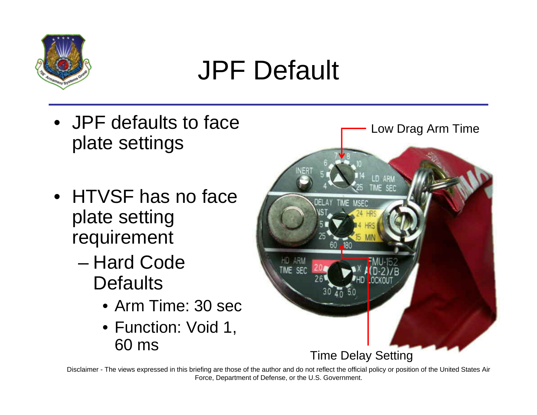

### JPF Default

- JPF defaults to face plate settings
- HTVSF has no face plate setting requirement
	- Hard Code **Defaults** 
		- Arm Time: 30 sec
		- Function: Void 1, 60 ms

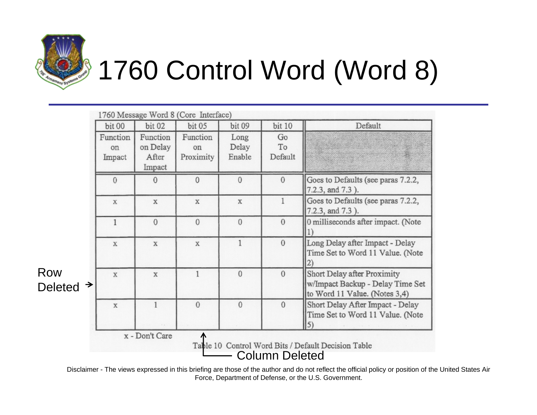

Row

**Deleted** 

# 1760 Control Word (Word 8)

| bit 00                   | <b>bit 02</b>                           | <b>bit 05</b>               | bit 09                  | <b>bit 10</b>       | Default                                                                                          |
|--------------------------|-----------------------------------------|-----------------------------|-------------------------|---------------------|--------------------------------------------------------------------------------------------------|
| Function<br>on<br>Impact | Function<br>on Delay<br>After<br>Impact | Function<br>on<br>Proximity | Long<br>Delay<br>Enable | Go<br>To<br>Default |                                                                                                  |
| $\theta$                 | $\theta$                                | $\overline{0}$              | $\theta$                | $\theta$            | Goes to Defaults (see paras 7.2.2,<br>7.2.3, and 7.3).                                           |
| $\mathbf x$              | X                                       | X                           | X                       |                     | Goes to Defaults (see paras 7.2.2,<br>7.2.3, and 7.3).                                           |
| 1                        | $\overline{0}$                          | $\mathbf{0}$                | $\theta$                | $\theta$            | 0 milliseconds after impact. (Note                                                               |
| X                        | X                                       | X                           | 1                       | $\overline{0}$      | Long Delay after Impact - Delay<br>Time Set to Word 11 Value. (Note                              |
| X                        | X                                       | 1                           | $\theta$                | $\Omega$            | Short Delay after Proximity<br>w/Impact Backup - Delay Time Set<br>to Word 11 Value. (Notes 3,4) |
| X                        | 1                                       | $\mathbf{0}$                | $\theta$                | $\Omega$            | Short Delay After Impact - Delay<br>Time Set to Word 11 Value. (Note                             |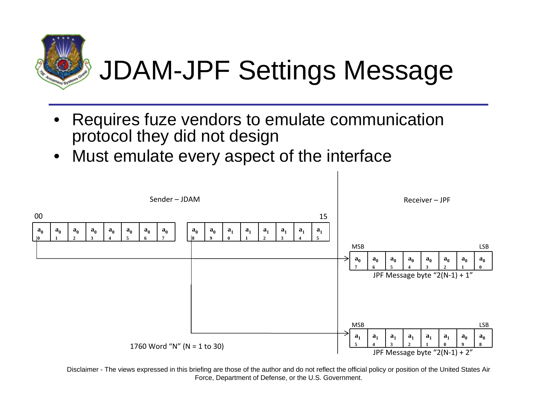

### JDAM-JPF Settings Message

- Requires fuze vendors to emulate communication protocol they did not design
- Must emulate every aspect of the interface

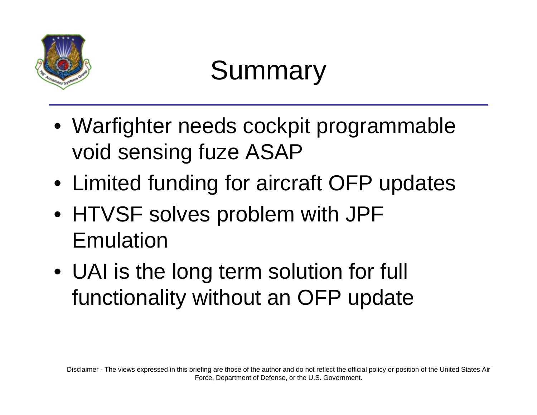

#### Summary

- Warfighter needs cockpit programmable void sensing fuze ASAP
- Limited funding for aircraft OFP updates
- HTVSF solves problem with JPF Emulation
- UAI is the long term solution for full functionality without an OFP update